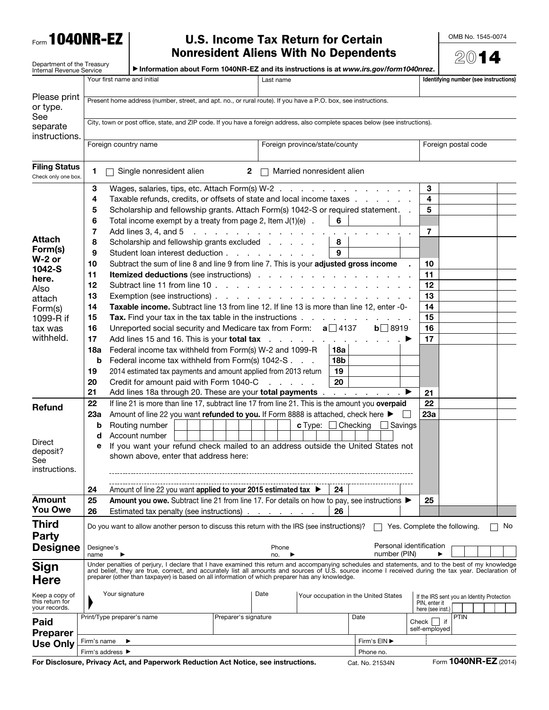Form 1040NR-EZ

## U.S. Income Tax Return for Certain Nonresident Aliens With No Dependents

OMB No. 1545-0074

|                                                        |                                                                                                                                                        |                                                                                                                                                                                                                                                         |                                                                                                                                                   |                                                 |                               |                                |     | <b>Nonresident Aliens With No Dependents</b> |                     |                                                             | $(20)$ 1    |  |    |
|--------------------------------------------------------|--------------------------------------------------------------------------------------------------------------------------------------------------------|---------------------------------------------------------------------------------------------------------------------------------------------------------------------------------------------------------------------------------------------------------|---------------------------------------------------------------------------------------------------------------------------------------------------|-------------------------------------------------|-------------------------------|--------------------------------|-----|----------------------------------------------|---------------------|-------------------------------------------------------------|-------------|--|----|
| Department of the Treasury<br>Internal Revenue Service |                                                                                                                                                        |                                                                                                                                                                                                                                                         | Information about Form 1040NR-EZ and its instructions is at www.irs.gov/form1040nrez.                                                             |                                                 |                               |                                |     |                                              |                     |                                                             |             |  |    |
|                                                        |                                                                                                                                                        |                                                                                                                                                                                                                                                         | Your first name and initial                                                                                                                       |                                                 | Last name                     |                                |     |                                              |                     | Identifying number (see instructions)                       |             |  |    |
|                                                        |                                                                                                                                                        |                                                                                                                                                                                                                                                         |                                                                                                                                                   |                                                 |                               |                                |     |                                              |                     |                                                             |             |  |    |
| Please print                                           |                                                                                                                                                        | Present home address (number, street, and apt. no., or rural route). If you have a P.O. box, see instructions.                                                                                                                                          |                                                                                                                                                   |                                                 |                               |                                |     |                                              |                     |                                                             |             |  |    |
| or type.<br>See                                        |                                                                                                                                                        |                                                                                                                                                                                                                                                         |                                                                                                                                                   |                                                 |                               |                                |     |                                              |                     |                                                             |             |  |    |
| separate                                               | City, town or post office, state, and ZIP code. If you have a foreign address, also complete spaces below (see instructions).                          |                                                                                                                                                                                                                                                         |                                                                                                                                                   |                                                 |                               |                                |     |                                              |                     |                                                             |             |  |    |
| instructions.                                          |                                                                                                                                                        |                                                                                                                                                                                                                                                         |                                                                                                                                                   |                                                 |                               |                                |     |                                              |                     |                                                             |             |  |    |
|                                                        |                                                                                                                                                        |                                                                                                                                                                                                                                                         | Foreign country name                                                                                                                              |                                                 | Foreign province/state/county |                                |     |                                              | Foreign postal code |                                                             |             |  |    |
|                                                        |                                                                                                                                                        |                                                                                                                                                                                                                                                         |                                                                                                                                                   |                                                 |                               |                                |     |                                              |                     |                                                             |             |  |    |
| <b>Filing Status</b><br>Check only one box.            | 1                                                                                                                                                      |                                                                                                                                                                                                                                                         | Single nonresident alien                                                                                                                          | $\mathbf{2}$                                    |                               | Married nonresident alien      |     |                                              |                     |                                                             |             |  |    |
|                                                        | 3                                                                                                                                                      |                                                                                                                                                                                                                                                         | Wages, salaries, tips, etc. Attach Form(s) W-2                                                                                                    |                                                 |                               |                                |     |                                              |                     | 3                                                           |             |  |    |
|                                                        | 4                                                                                                                                                      |                                                                                                                                                                                                                                                         | Taxable refunds, credits, or offsets of state and local income taxes                                                                              |                                                 |                               |                                |     |                                              |                     | 4                                                           |             |  |    |
|                                                        | 5                                                                                                                                                      |                                                                                                                                                                                                                                                         | Scholarship and fellowship grants. Attach Form(s) 1042-S or required statement. .                                                                 |                                                 |                               |                                |     |                                              |                     | 5                                                           |             |  |    |
|                                                        | 6                                                                                                                                                      |                                                                                                                                                                                                                                                         | Total income exempt by a treaty from page 2, Item $J(1)(e)$ .                                                                                     |                                                 |                               |                                | 6   |                                              |                     |                                                             |             |  |    |
|                                                        | 7                                                                                                                                                      |                                                                                                                                                                                                                                                         | Add lines 3, 4, and 5                                                                                                                             | the contract of the contract of the contract of |                               |                                |     |                                              |                     | 7                                                           |             |  |    |
| <b>Attach</b>                                          | 8                                                                                                                                                      |                                                                                                                                                                                                                                                         | Scholarship and fellowship grants excluded                                                                                                        |                                                 |                               |                                | 8   |                                              |                     |                                                             |             |  |    |
| Form(s)                                                | 9                                                                                                                                                      |                                                                                                                                                                                                                                                         | Student loan interest deduction                                                                                                                   |                                                 |                               |                                | 9   |                                              |                     |                                                             |             |  |    |
| $W-2$ or<br>1042-S                                     | 10                                                                                                                                                     |                                                                                                                                                                                                                                                         | Subtract the sum of line 8 and line 9 from line 7. This is your adjusted gross income                                                             |                                                 |                               |                                |     |                                              |                     | 10                                                          |             |  |    |
| here.                                                  | 11                                                                                                                                                     |                                                                                                                                                                                                                                                         | <b>Itemized deductions</b> (see instructions)                                                                                                     |                                                 |                               |                                |     |                                              |                     | 11                                                          |             |  |    |
| Also                                                   | 12                                                                                                                                                     |                                                                                                                                                                                                                                                         |                                                                                                                                                   |                                                 |                               |                                |     |                                              |                     | 12                                                          |             |  |    |
| attach                                                 | 13                                                                                                                                                     |                                                                                                                                                                                                                                                         |                                                                                                                                                   |                                                 |                               |                                |     | 13                                           |                     |                                                             |             |  |    |
| Form(s)                                                | Taxable income. Subtract line 13 from line 12. If line 13 is more than line 12, enter -0-<br>14                                                        |                                                                                                                                                                                                                                                         |                                                                                                                                                   |                                                 |                               |                                |     | 14                                           |                     |                                                             |             |  |    |
| 1099-R if                                              | 15                                                                                                                                                     |                                                                                                                                                                                                                                                         | Tax. Find your tax in the tax table in the instructions                                                                                           |                                                 |                               |                                |     |                                              |                     | 15                                                          |             |  |    |
| tax was<br>withheld.                                   | 16                                                                                                                                                     |                                                                                                                                                                                                                                                         | Unreported social security and Medicare tax from Form: $a$ 4137                                                                                   |                                                 |                               |                                |     | $b \square 8919$                             |                     | 16                                                          |             |  |    |
|                                                        | 17                                                                                                                                                     |                                                                                                                                                                                                                                                         | Add lines 15 and 16. This is your total tax                                                                                                       |                                                 |                               |                                |     |                                              |                     | 17                                                          |             |  |    |
|                                                        | 18a                                                                                                                                                    |                                                                                                                                                                                                                                                         | Federal income tax withheld from Form(s) W-2 and 1099-R                                                                                           |                                                 |                               |                                | 18a |                                              |                     |                                                             |             |  |    |
|                                                        | Federal income tax withheld from Form(s) 1042-S<br>18 <sub>b</sub><br>b<br>19<br>2014 estimated tax payments and amount applied from 2013 return<br>19 |                                                                                                                                                                                                                                                         |                                                                                                                                                   |                                                 |                               |                                |     |                                              |                     |                                                             |             |  |    |
|                                                        | Credit for amount paid with Form 1040-C<br>20<br>20<br>and the company                                                                                 |                                                                                                                                                                                                                                                         |                                                                                                                                                   |                                                 |                               |                                |     |                                              |                     |                                                             |             |  |    |
|                                                        | 21                                                                                                                                                     |                                                                                                                                                                                                                                                         | Add lines 18a through 20. These are your total payments ▶                                                                                         |                                                 |                               |                                |     |                                              |                     | 21                                                          |             |  |    |
|                                                        | 22                                                                                                                                                     |                                                                                                                                                                                                                                                         | If line 21 is more than line 17, subtract line 17 from line 21. This is the amount you overpaid                                                   |                                                 |                               |                                |     |                                              |                     | 22                                                          |             |  |    |
| <b>Refund</b>                                          | 23a                                                                                                                                                    |                                                                                                                                                                                                                                                         | Amount of line 22 you want refunded to you. If Form 8888 is attached, check here ▶                                                                |                                                 |                               |                                |     |                                              |                     | 23a                                                         |             |  |    |
|                                                        | b                                                                                                                                                      |                                                                                                                                                                                                                                                         | Routing number                                                                                                                                    |                                                 |                               | <b>c</b> Type: $\Box$ Checking |     | $\Box$ Savings                               |                     |                                                             |             |  |    |
|                                                        | Account number<br>d                                                                                                                                    |                                                                                                                                                                                                                                                         |                                                                                                                                                   |                                                 |                               |                                |     |                                              |                     |                                                             |             |  |    |
| Direct<br>deposit?                                     | If you want your refund check mailed to an address outside the United States not<br>е                                                                  |                                                                                                                                                                                                                                                         |                                                                                                                                                   |                                                 |                               |                                |     |                                              |                     |                                                             |             |  |    |
| See                                                    | shown above, enter that address here:                                                                                                                  |                                                                                                                                                                                                                                                         |                                                                                                                                                   |                                                 |                               |                                |     |                                              |                     |                                                             |             |  |    |
| instructions.                                          |                                                                                                                                                        |                                                                                                                                                                                                                                                         |                                                                                                                                                   |                                                 |                               |                                |     |                                              |                     |                                                             |             |  |    |
|                                                        |                                                                                                                                                        |                                                                                                                                                                                                                                                         |                                                                                                                                                   |                                                 |                               |                                |     |                                              |                     |                                                             |             |  |    |
| <b>Amount</b>                                          | 24                                                                                                                                                     |                                                                                                                                                                                                                                                         | Amount of line 22 you want applied to your 2015 estimated tax ▶                                                                                   |                                                 |                               |                                | 24  |                                              |                     |                                                             |             |  |    |
| <b>You Owe</b>                                         | 25<br>26                                                                                                                                               |                                                                                                                                                                                                                                                         | Amount you owe. Subtract line 21 from line 17. For details on how to pay, see instructions ▶<br>Estimated tax penalty (see instructions)          |                                                 |                               |                                | 26  |                                              |                     | 25                                                          |             |  |    |
|                                                        |                                                                                                                                                        |                                                                                                                                                                                                                                                         |                                                                                                                                                   |                                                 |                               |                                |     |                                              |                     |                                                             |             |  |    |
| Third                                                  |                                                                                                                                                        |                                                                                                                                                                                                                                                         | Do you want to allow another person to discuss this return with the IRS (see instructions)?                                                       |                                                 |                               |                                |     |                                              |                     | Yes. Complete the following.                                |             |  | No |
| <b>Party</b>                                           | Personal identification<br>Phone<br>Designee's                                                                                                         |                                                                                                                                                                                                                                                         |                                                                                                                                                   |                                                 |                               |                                |     |                                              |                     |                                                             |             |  |    |
| <b>Designee</b>                                        | name                                                                                                                                                   |                                                                                                                                                                                                                                                         |                                                                                                                                                   |                                                 | no.                           |                                |     | number (PIN)                                 |                     |                                                             |             |  |    |
| <b>Sign</b>                                            |                                                                                                                                                        |                                                                                                                                                                                                                                                         | Under penalties of perjury, I declare that I have examined this return and accompanying schedules and statements, and to the best of my knowledge |                                                 |                               |                                |     |                                              |                     |                                                             |             |  |    |
| Here                                                   |                                                                                                                                                        | and belief, they are true, correct, and accurately list all amounts and sources of U.S. source income I received during the tax year. Declaration of<br>preparer (other than taxpayer) is based on all information of which preparer has any knowledge. |                                                                                                                                                   |                                                 |                               |                                |     |                                              |                     |                                                             |             |  |    |
|                                                        |                                                                                                                                                        |                                                                                                                                                                                                                                                         |                                                                                                                                                   |                                                 |                               |                                |     |                                              |                     |                                                             |             |  |    |
| Keep a copy of<br>this return for                      |                                                                                                                                                        | Your signature                                                                                                                                                                                                                                          |                                                                                                                                                   |                                                 | Date                          |                                |     | Your occupation in the United States         |                     | If the IRS sent you an Identity Protection<br>PIN, enter it |             |  |    |
| your records.                                          |                                                                                                                                                        |                                                                                                                                                                                                                                                         |                                                                                                                                                   |                                                 |                               |                                |     |                                              |                     | here (see inst.)                                            |             |  |    |
| Paid                                                   |                                                                                                                                                        |                                                                                                                                                                                                                                                         | Print/Type preparer's name                                                                                                                        | Preparer's signature                            |                               |                                |     | Date                                         |                     | Check     if                                                | <b>PTIN</b> |  |    |
| <b>Preparer</b>                                        |                                                                                                                                                        |                                                                                                                                                                                                                                                         |                                                                                                                                                   |                                                 |                               |                                |     |                                              |                     | self-employed                                               |             |  |    |
| <b>Use Only</b>                                        | Firm's EIN ▶<br>Firm's name                                                                                                                            |                                                                                                                                                                                                                                                         |                                                                                                                                                   |                                                 |                               |                                |     |                                              |                     |                                                             |             |  |    |
|                                                        |                                                                                                                                                        | Firm's address ▶<br>Phone no.                                                                                                                                                                                                                           |                                                                                                                                                   |                                                 |                               |                                |     |                                              |                     |                                                             |             |  |    |

For Disclosure, Privacy Act, and Paperwork Reduction Act Notice, see instructions. Cat. No. 21534N Form 1040NR-EZ (2014)